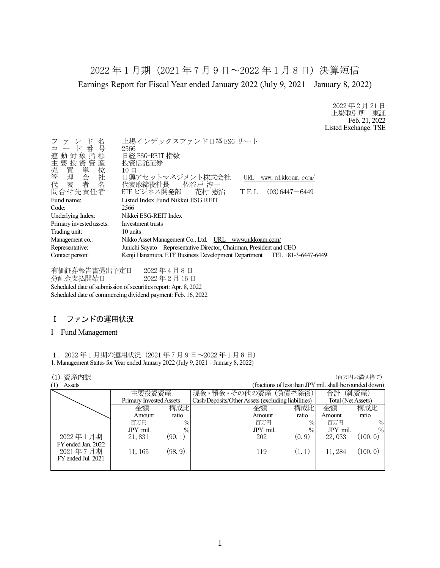2022 年 1 月期(2021 年 7 月 9 日~2022 年 1 月 8 日)決算短信 Earnings Report for Fiscal Year ended January 2022 (July 9, 2021 – January 8, 2022)

> 2022 年 2 月 21 日 上場取引所 東証 Feb. 21, 2022 Listed Exchange: TSE

| $\mathbb{R}$<br>名<br>ファン<br>コード番号<br>連動対象指標<br>)主売管代<br>「我」、「我」、「我」<br>「我」<br>「我」<br>「我」<br>「我」<br>「我」<br>「我」<br>「我」<br>問合せ先責任者 | 上場インデックスファンド日経 ESG リート<br>2566<br>日経 ESG-REIT 指数<br>投資信託証券<br>$10 \Box$<br>日興アセットマネジメント株式会社<br>URL www.nikkoam.com/<br>代表取締役社長  佐谷戸 淳一<br>ETF ビジネス開発部  花村 憲治<br>$(03)$ 6447 $-$ 6449<br>TEL |  |
|---------------------------------------------------------------------------------------------------------------------------------|---------------------------------------------------------------------------------------------------------------------------------------------------------------------------------------------|--|
| Fund name:                                                                                                                      | Listed Index Fund Nikkei ESG REIT                                                                                                                                                           |  |
| Code:                                                                                                                           | 2566                                                                                                                                                                                        |  |
| Underlying Index:                                                                                                               | Nikkei ESG-REIT Index                                                                                                                                                                       |  |
| Primary invested assets:                                                                                                        | Investment trusts                                                                                                                                                                           |  |
| Trading unit:                                                                                                                   | 10 units                                                                                                                                                                                    |  |
| Management co.:                                                                                                                 | Nikko Asset Management Co., Ltd. URL www.nikkoam.com/                                                                                                                                       |  |
| Junichi Sayato Representative Director, Chairman, President and CEO<br>Representative:                                          |                                                                                                                                                                                             |  |
| Contact person:                                                                                                                 | Kenji Hanamura, ETF Business Development Department TEL +81-3-6447-6449                                                                                                                     |  |

有価証券報告書提出予定日 2022 年 4 月 8 日 分配金支払開始日 2022 年 2 月 16 日 Scheduled date of submission of securities report: Apr. 8, 2022 Scheduled date of commencing dividend payment: Feb. 16, 2022

## Ⅰ ファンドの運用状況

### I Fund Management

1.2022 年 1 月期の運用状況(2021 年 7 月 9 日~2022 年 1 月 8 日) 1. Management Status for Year ended January 2022 (July 9, 2021 – January 8, 2022)

### (1) 資産内訳 (百万円未満切捨て)

|          |         |                                   |                     |                                                                            | ヽ — ノノ + ノ/ ヽ !!~! ノノ」 — ヽ ノ                            |
|----------|---------|-----------------------------------|---------------------|----------------------------------------------------------------------------|---------------------------------------------------------|
|          |         |                                   |                     |                                                                            |                                                         |
|          |         |                                   |                     | 合計                                                                         | (純資産)                                                   |
|          |         |                                   |                     | Total (Net Assets)                                                         |                                                         |
| 金額       |         | 金額                                | 構成比                 | 金額                                                                         | 構成比                                                     |
| Amount   | ratio   | Amount                            | ratio               | Amount                                                                     | ratio                                                   |
| 百万円      |         | 百万円                               | $\%$                | 百万円                                                                        | $\frac{0}{0}$                                           |
| JPY mil. |         | JPY mil.                          | $\%$                | JPY mil.                                                                   | $\frac{0}{0}$                                           |
| 21,831   | (99, 1) | 202                               | (0.9)               | 22, 033                                                                    | (100.0)                                                 |
|          |         |                                   |                     |                                                                            |                                                         |
| 11, 165  | (98.9)  | 119                               | (1.1)               | 11, 284                                                                    | (100.0)                                                 |
|          |         |                                   |                     |                                                                            |                                                         |
|          |         |                                   |                     |                                                                            |                                                         |
|          |         | 主要投資資産<br>Primary Invested Assets | 構成比<br>$\%$<br>$\%$ | 現金・預金・その他の資産 (負債控除後)<br>Cash/Deposits/Other Assets (excluding liabilities) | (fractions of less than JPY mil. shall be rounded down) |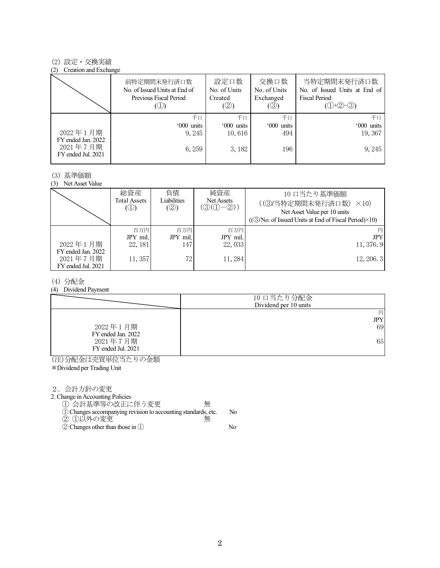### (2) 設定・交換実績

#### (2) Creation and Exchange

|                                                      | 前特定期間末発行済口数<br>No. of Issued Units at End of<br>Previous Fiscal Period | 設定口数<br>No. of Units<br>Created<br>(②) | 交換口数<br>No. of Units<br>Exchanged<br>(③) | 当特定期間末発行済口数<br>No. of Issued Units at End of<br><b>Fiscal Period</b><br>$(①+②-③)$ |
|------------------------------------------------------|------------------------------------------------------------------------|----------------------------------------|------------------------------------------|-----------------------------------------------------------------------------------|
|                                                      | 千口                                                                     | 千口                                     | 千口                                       | 千口                                                                                |
|                                                      | '000 units                                                             | '000 units                             | '000 units                               | '000 units                                                                        |
| 2022年1月期                                             | 9, 245                                                                 | 10,616                                 | 494                                      | 19,367                                                                            |
| FY ended Jan. 2022<br>2021年7月期<br>FY ended Jul. 2021 | 6, 259                                                                 | 3, 182                                 | 196                                      | 9, 245                                                                            |

#### (3) 基準価額

(3) Net Asset Value

|                                                      | 総資産<br>Total Assets<br>$\circledcirc$ | 負債<br>Liabilities<br>(②) | 純資産<br>Net Assets<br>$(\textcircled{3}(\textcircled{1}-\textcircled{2}))$ | 10 口当たり基準価額<br>((3)当特定期間末発行済口数)<br>$\times$ 10)<br>Net Asset Value per 10 units<br>$((\textcircled{3}/No. of Issued Units at End of Fiscal Period)\times10)$ |
|------------------------------------------------------|---------------------------------------|--------------------------|---------------------------------------------------------------------------|--------------------------------------------------------------------------------------------------------------------------------------------------------------|
|                                                      | 百万円                                   | 百万円                      | 百万円                                                                       |                                                                                                                                                              |
|                                                      | JPY mil.                              | JPY mil.                 | JPY mil.                                                                  | <b>JPY</b>                                                                                                                                                   |
| 2022年1月期                                             | 22, 181                               | 147                      | 22, 033                                                                   | 11, 376.9                                                                                                                                                    |
| FY ended Jan. 2022<br>2021年7月期<br>FY ended Jul. 2021 | 11, 357                               | 72                       | 11,284                                                                    | 12, 206.3                                                                                                                                                    |

### (4) 分配金

(4) Dividend Payment

|                                | 10 口当たり分配金<br>Dividend per 10 units |
|--------------------------------|-------------------------------------|
|                                | 円                                   |
|                                | <b>JPY</b>                          |
| 2022年1月期<br>FY ended Jan. 2022 | 69                                  |
| 2021年7月期<br>FY ended Jul. 2021 | 65                                  |

(注)分配金は売買単位当たりの金額

\*Dividend per Trading Unit

2.会計方針の変更

2. Change in Accounting Policies

① 会計基準等の改正に伴う変更 無

- ①Changes accompanying revision to accounting standards, etc. No ② ①以外の変更 無
- ②Changes other than those in ① No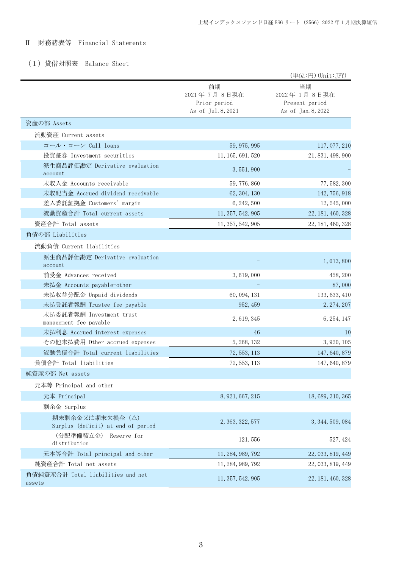# Ⅱ 財務諸表等 Financial Statements

# (1)貸借対照表 Balance Sheet

|                                                       |                                                         | (単位:円) (Unit:JPY)                                         |
|-------------------------------------------------------|---------------------------------------------------------|-----------------------------------------------------------|
|                                                       | 前期<br>2021年7月8日現在<br>Prior period<br>As of Jul. 8, 2021 | 当期<br>2022年1月8日現在<br>Present period<br>As of Jan. 8, 2022 |
| 資産の部 Assets                                           |                                                         |                                                           |
| 流動資産 Current assets                                   |                                                         |                                                           |
| コール・ローン Call loans                                    | 59, 975, 995                                            | 117, 077, 210                                             |
| 投資証券 Investment securities                            | 11, 165, 691, 520                                       | 21, 831, 498, 900                                         |
| 派生商品評価勘定 Derivative evaluation<br>account             | 3, 551, 900                                             |                                                           |
| 未収入金 Accounts receivable                              | 59, 776, 860                                            | 77, 582, 300                                              |
| 未収配当金 Accrued dividend receivable                     | 62, 304, 130                                            | 142, 756, 918                                             |
| 差入委託証拠金 Customers' margin                             | 6, 242, 500                                             | 12, 545, 000                                              |
| 流動資産合計 Total current assets                           | 11, 357, 542, 905                                       | 22, 181, 460, 328                                         |
| 資産合計 Total assets                                     | 11, 357, 542, 905                                       | 22, 181, 460, 328                                         |
| 負債の部 Liabilities                                      |                                                         |                                                           |
| 流動負債 Current liabilities                              |                                                         |                                                           |
| 派生商品評価勘定 Derivative evaluation<br>account             |                                                         | 1, 013, 800                                               |
| 前受金 Advances received                                 | 3,619,000                                               | 458, 200                                                  |
| 未払金 Accounts payable-other                            |                                                         | 87,000                                                    |
| 未払収益分配金 Unpaid dividends                              | 60, 094, 131                                            | 133, 633, 410                                             |
| 未払受託者報酬 Trustee fee payable                           | 952, 459                                                | 2, 274, 207                                               |
| 未払委託者報酬 Investment trust<br>management fee payable    | 2, 619, 345                                             | 6, 254, 147                                               |
| 未払利息 Accrued interest expenses                        | 46                                                      | 10                                                        |
| その他未払費用 Other accrued expenses                        | 5, 268, 132                                             | 3, 920, 105                                               |
| 流動負債合計 Total current liabilities                      | 72, 553, 113                                            | 147, 640, 879                                             |
| 負債合計 Total liabilities                                | 72, 553, 113                                            | 147, 640, 879                                             |
| 純資産の部 Net assets                                      |                                                         |                                                           |
| 元本等 Principal and other                               |                                                         |                                                           |
| 元本 Principal                                          | 8, 921, 667, 215                                        | 18, 689, 310, 365                                         |
| 剰余金 Surplus                                           |                                                         |                                                           |
| 期末剰余金又は期末欠損金(△)<br>Surplus (deficit) at end of period | 2, 363, 322, 577                                        | 3, 344, 509, 084                                          |
| (分配準備積立金)<br>Reserve for<br>distribution              | 121, 556                                                | 527, 424                                                  |
| 元本等合計 Total principal and other                       | 11, 284, 989, 792                                       | 22, 033, 819, 449                                         |
| 純資産合計 Total net assets                                | 11, 284, 989, 792                                       | 22, 033, 819, 449                                         |
| 負債純資産合計 Total liabilities and net<br>assets           | 11, 357, 542, 905                                       | 22, 181, 460, 328                                         |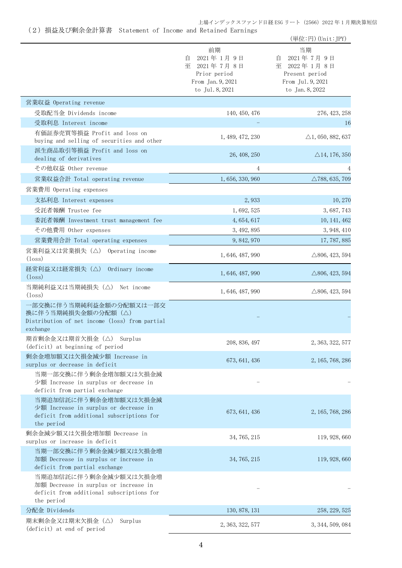上場インデックスファンド日経 ESG リート(2566)2022 年 1 月期決算短信

(2)損益及び剰余金計算書 Statement of Income and Retained Earnings

| 自<br>至                                                                                                                    | 前期<br>2021年1月9日<br>2021年7月8日<br>Prior period<br>From Jan. 9, 2021<br>to Jul. 8, 2021 | 当期<br>2021年7月9日<br>目<br>至<br>2022年1月8日<br>Present period |
|---------------------------------------------------------------------------------------------------------------------------|--------------------------------------------------------------------------------------|----------------------------------------------------------|
|                                                                                                                           |                                                                                      | From Jul. 9, 2021<br>to Jan. 8, 2022                     |
| 営業収益 Operating revenue                                                                                                    |                                                                                      |                                                          |
| 受取配当金 Dividends income                                                                                                    | 140, 450, 476                                                                        | 276, 423, 258                                            |
| 受取利息 Interest income                                                                                                      |                                                                                      | 16                                                       |
| 有価証券売買等損益 Profit and loss on<br>buying and selling of securities and other                                                | 1, 489, 472, 230                                                                     | $\triangle$ 1, 050, 882, 637                             |
| 派生商品取引等損益 Profit and loss on                                                                                              | 26, 408, 250                                                                         | $\triangle$ 14, 176, 350                                 |
| dealing of derivatives<br>その他収益 Other revenue                                                                             |                                                                                      |                                                          |
| 営業収益合計 Total operating revenue                                                                                            | 4                                                                                    |                                                          |
|                                                                                                                           | 1, 656, 330, 960                                                                     | $\triangle$ 788, 635, 709                                |
| 営業費用 Operating expenses                                                                                                   |                                                                                      |                                                          |
| 支払利息 Interest expenses                                                                                                    | 2,933                                                                                | 10, 270                                                  |
| 受託者報酬 Trustee fee                                                                                                         | 1,692,525                                                                            | 3, 687, 743                                              |
| 委託者報酬 Investment trust management fee<br>その他費用 Other expenses                                                             | 4, 654, 617                                                                          | 10, 141, 462                                             |
| 営業費用合計 Total operating expenses                                                                                           | 3, 492, 895                                                                          | 3, 948, 410                                              |
| 営業利益又は営業損失 (△) Operating income<br>$(\text{loss})$                                                                        | 9, 842, 970<br>1, 646, 487, 990                                                      | 17, 787, 885<br>$\triangle$ 806, 423, 594                |
| 経常利益又は経常損失(△)<br>Ordinary income<br>$(\text{loss})$                                                                       | 1, 646, 487, 990                                                                     | $\triangle$ 806, 423, 594                                |
| 当期純利益又は当期純損失(△)<br>Net income<br>$(\text{loss})$                                                                          | 1, 646, 487, 990                                                                     | $\triangle$ 806, 423, 594                                |
| 一部交換に伴う当期純利益金額の分配額又は一部交<br>換に伴う当期純損失金額の分配額 (△)<br>Distribution of net income (loss) from partial<br>exchange              |                                                                                      |                                                          |
| 期首剰余金又は期首欠損金 (△) Surplus<br>(deficit) at beginning of period                                                              | 208, 836, 497                                                                        | 2, 363, 322, 577                                         |
| 剰余金増加額又は欠損金減少額 Increase in<br>surplus or decrease in deficit                                                              | 673, 641, 436                                                                        | 2, 165, 768, 286                                         |
| 当期一部交換に伴う剰余金増加額又は欠損金減<br>少額 Increase in surplus or decrease in<br>deficit from partial exchange                           |                                                                                      |                                                          |
| 当期追加信託に伴う剰余金増加額又は欠損金減<br>少額 Increase in surplus or decrease in<br>deficit from additional subscriptions for<br>the period | 673, 641, 436                                                                        | 2, 165, 768, 286                                         |
| 剰余金減少額又は欠損金増加額 Decrease in<br>surplus or increase in deficit                                                              | 34, 765, 215                                                                         | 119, 928, 660                                            |
| 当期一部交換に伴う剰余金減少額又は欠損金増<br>加額 Decrease in surplus or increase in<br>deficit from partial exchange                           | 34, 765, 215                                                                         | 119, 928, 660                                            |
| 当期追加信託に伴う剰余金減少額又は欠損金増<br>加額 Decrease in surplus or increase in<br>deficit from additional subscriptions for<br>the period |                                                                                      |                                                          |
| 分配金 Dividends                                                                                                             | 130, 878, 131                                                                        | 258, 229, 525                                            |
| 期末剰余金又は期末欠損金(△)<br>Surplus<br>(deficit) at end of period                                                                  | 2, 363, 322, 577                                                                     | 3, 344, 509, 084                                         |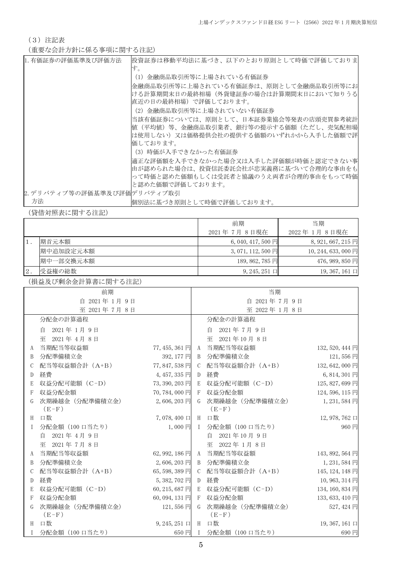(3)注記表

(重要な会計方針に係る事項に関する注記)

| 1. 有価証券の評価基準及び評価方法          | 投資証券は移動平均法に基づき、以下のとおり原則として時価で評価しておりま                                                                      |
|-----------------------------|-----------------------------------------------------------------------------------------------------------|
|                             | す。                                                                                                        |
|                             | (1)金融商品取引所等に上場されている有価証券                                                                                   |
|                             | 金融商品取引所等に上場されている有価証券は、原則として金融商品取引所等にお <br>ける計算期間末日の最終相場(外貨建証券の場合は計算期間末日において知りうる <br> 直近の日の最終相場)で評価しております。 |
|                             | (2) 金融商品取引所等に上場されていない有価証券                                                                                 |
|                             | 当該有価証券については、原則として、日本証券業協会等発表の店頭売買参考統計                                                                     |
|                             | 値(平均値)等、金融商品取引業者、銀行等の提示する価額(ただし、売気配相場                                                                     |
|                             | は使用しない)又は価格提供会社の提供する価額のいずれかから入手した価額で評                                                                     |
|                             | 価しております。                                                                                                  |
|                             | (3)時価が入手できなかった有価証券                                                                                        |
|                             | 適正な評価額を入手できなかった場合又は入手した評価額が時価と認定できない事<br> 由が認められた場合は、投資信託委託会社が忠実義務に基づいて合理的な事由をも                           |
|                             | って時価と認めた価額もしくは受託者と協議のうえ両者が合理的事由をもって時価                                                                     |
|                             | と認めた価額で評価しております。                                                                                          |
| 2. デリバティブ等の評価基準及び評価デリバティブ取引 |                                                                                                           |
| 方法                          | 個別法に基づき原則として時価で評価しております。                                                                                  |

(貸借対照表に関する注記)

|    |           | 前期                 | 当期                     |
|----|-----------|--------------------|------------------------|
|    |           | 2021年7月8日現在        | 2022 年 1月 8 日現在        |
|    | 期首元本額     | $6,040,417,500$ 円  | 8, 921, 667, 215 円     |
|    | 期中追加設定元本額 | $3,071,112,500$ 円  | 10, 244, 633, 000 円    |
|    | 期中一部交換元本額 | 189, 862, 785 円    | 476, 989, 850 円        |
| 2. | 受益権の総数    | $9, 245, 251 \Box$ | $19, 367, 161 \square$ |

(損益及び剰余金計算書に関する注記)

|              | 前期                         |                               |               | 当期                         |                 |
|--------------|----------------------------|-------------------------------|---------------|----------------------------|-----------------|
|              | 自 2021年1月9日                |                               | 自 2021年7月9日   |                            |                 |
|              | 至 2021年7月8日                |                               |               | 至 2022年1月8日                |                 |
|              | 分配金の計算過程                   |                               |               | 分配金の計算過程                   |                 |
|              | 2021年1月9日<br>自             |                               |               | 2021年7月9日<br>自             |                 |
|              | 2021年4月8日<br>至             |                               |               | 至<br>2021年10月8日            |                 |
| A            | 当期配当等収益額                   | 77, 455, 361 $\overline{H}$ A |               | 当期配当等収益額                   | 132, 520, 444 円 |
| B            | 分配準備積立金                    | 392, 177 円                    | $\mathbf{B}$  | 分配準備積立金                    | 121,556円        |
| C            | 配当等収益額合計 (A+B)             | 77, 847, 538 $\overline{P}$ C |               | 配当等収益額合計 (A+B)             | 132, 642, 000 円 |
| D            | 経費                         | 4,457,335円                    | D             | 経費                         | 6,814,301円      |
| E            | 収益分配可能額 (C-D)              | 73, 390, 203 円                | E             | 収益分配可能額 (C-D)              | 125, 827, 699 円 |
| F            | 収益分配金額                     | 70,784,000円                   | $\mathbf{F}$  | 収益分配金額                     | 124, 596, 115 円 |
| G            | 次期繰越金 (分配準備積立金)<br>$(E-F)$ | $2,606,203$ 円                 | G             | 次期繰越金 (分配準備積立金)<br>$(E-F)$ | 1,231,584 円     |
| H            | 口数                         | 7,078,400 口 H 口数              |               |                            | 12,978,762 口    |
| $\mathbf{I}$ | 分配金額 (100 口当たり)            | 1,000円                        | $\top$        | 分配金額 (100 口当たり)            | 960円            |
|              | 自<br>2021年4月9日             |                               |               | 自 2021年10月9日               |                 |
|              | 至 2021年7月8日                |                               |               | 至 2022年1月8日                |                 |
| A            | 当期配当等収益額                   |                               |               | 62, 992, 186 円 A 当期配当等収益額  | 143, 892, 564 円 |
| B            | 分配準備積立金                    |                               |               | 2,606,203 円 B 分配準備積立金      | 1,231,584 円     |
| C            | 配当等収益額合計 (A+B)             | 65, 598, 389 円                | $\mathcal{C}$ | 配当等収益額合計 (A+B)             | 145, 124, 148 円 |
| D            | 経費                         | 5,382,702円                    | $\mathbf{D}$  | 経費                         | 10, 963, 314 円  |
| E            | 収益分配可能額 (C-D)              | 60, 215, 687 $\overline{H}$ E |               | 収益分配可能額 (C-D)              | 134, 160, 834 円 |
| F            | 収益分配金額                     | 60, 094, 131 円                | $-F$          | 収益分配金額                     | 133, 633, 410 円 |
| G            | 次期繰越金 (分配準備積立金)<br>$(E-F)$ | 121,556円                      | G             | 次期繰越金 (分配準備積立金)<br>$(E-F)$ | 527, 424 円      |
| H            | 口数                         | 9, 245, 251 口 H 口数            |               |                            | 19, 367, 161 口  |
|              | I 分配金額 (100 口当たり)          | 650円                          |               | I 分配金額(100 口当たり)           | 690円            |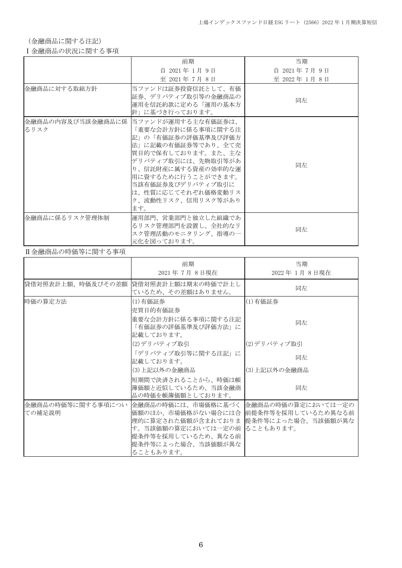(金融商品に関する注記)

# Ⅰ金融商品の状況に関する事項

|                | 前期                                                                                                                                                                                                                                                                           | 当期          |
|----------------|------------------------------------------------------------------------------------------------------------------------------------------------------------------------------------------------------------------------------------------------------------------------------|-------------|
|                | 自 2021年1月9日                                                                                                                                                                                                                                                                  | 自 2021年7月9日 |
|                |                                                                                                                                                                                                                                                                              |             |
|                | 至 2021年7月8日                                                                                                                                                                                                                                                                  | 至 2022年1月8日 |
| 金融商品に対する取組方針   | 当ファンドは証券投資信託として、有価<br>証券、デリバティブ取引等の金融商品の<br>運用を信託約款に定める「運用の基本方<br>針」に基づき行っております。                                                                                                                                                                                             | 同左          |
| るリスク           | 金融商品の内容及び当該金融商品に係  当ファンドが運用する主な有価証券は、<br>「重要な会計方針に係る事項に関する注<br> 記」の「有価証券の評価基準及び評価方 <br>法」に記載の有価証券等であり、全て売<br> 買目的で保有しております。また、主な<br> デリバティブ取引には、先物取引等があ<br>り、信託財産に属する資産の効率的な運<br>用に資するために行うことができます。<br>当該有価証券及びデリバティブ取引に<br>は、性質に応じてそれぞれ価格変動リス<br> ク、流動性リスク、信用リスク等があり<br>ます。 | 同左          |
| 金融商品に係るリスク管理体制 | 運用部門、営業部門と独立した組織であ<br> るリスク管理部門を設置し、全社的なリ<br>スク管理活動のモニタリング、指導の一<br>元化を図っております。                                                                                                                                                                                               | 同左          |

# Ⅱ金融商品の時価等に関する事項

|                             | 前期<br>2021年7月8日現在                                                                                                                                                                                                     | 当期<br>2022年1月8日現在 |
|-----------------------------|-----------------------------------------------------------------------------------------------------------------------------------------------------------------------------------------------------------------------|-------------------|
| 貸借対照表計上額、時価及びその差額           | 貸借対照表計上額は期末の時価で計上し<br>ているため、その差額はありません。                                                                                                                                                                               | 同左                |
| 時価の算定方法                     | (1)有価証券<br>売買目的有価証券                                                                                                                                                                                                   | (1)有価証券           |
|                             | 重要な会計方針に係る事項に関する注記<br>「有価証券の評価基準及び評価方法」に<br>記載しております。                                                                                                                                                                 | 同左                |
|                             | (2)デリバティブ取引                                                                                                                                                                                                           | (2)デリバティブ取引       |
|                             | 「デリバティブ取引等に関する注記」に<br>記載しております。                                                                                                                                                                                       | 同左                |
|                             | (3)上記以外の金融商品                                                                                                                                                                                                          | (3)上記以外の金融商品      |
|                             | 短期間で決済されることから、時価は帳<br>簿価額と近似しているため、当該金融商<br>品の時価を帳簿価額としております。                                                                                                                                                         | 同左                |
| 金融商品の時価等に関する事項につい<br>ての補足説明 | 金融商品の時価には、市場価格に基づく   金融商品の時価の算定においては一定の <br>価額のほか、市場価格がない場合には合  前提条件等を採用しているため異なる前<br>理的に算定された価額が含まれておりま 提条件等によった場合、当該価額が異な<br>す。当該価額の算定においては一定の前 ることもあります。<br>提条件等を採用しているため、異なる前<br> 提条件等によった場合、当該価額が異な<br>ることもあります。 |                   |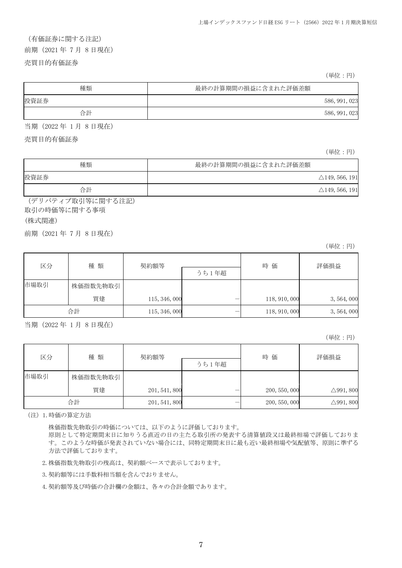### (有価証券に関する注記)

前期(2021 年 7 月 8 日現在)

#### 売買目的有価証券

(単位:円)

| 種類   | 最終の計算期間の損益に含まれた評価差額 |
|------|---------------------|
| 投資証券 | 586, 991, 023       |
| 合計   | 586, 991, 023       |

当期(2022 年 1 月 8 日現在)

売買目的有価証券

(単位:円)

| 種類   | 最終の計算期間の損益に含まれた評価差額 |                           |
|------|---------------------|---------------------------|
| 投資証券 |                     | $\triangle$ 149, 566, 191 |
| 合計   |                     | $\triangle$ 149, 566, 191 |

(デリバティブ取引等に関する注記) 取引の時価等に関する事項

#### (株式関連)

前期(2021 年 7 月 8 日現在)

(単位:円)

| 区分   | 種類       | 契約額等          | うち1年超 | 時価            | 評価損益        |
|------|----------|---------------|-------|---------------|-------------|
| 市場取引 | 株価指数先物取引 |               |       |               |             |
|      | 買建       | 115, 346, 000 |       | 118, 910, 000 | 3, 564, 000 |
|      | 合計       | 115, 346, 000 |       | 118, 910, 000 | 3, 564, 000 |

当期(2022 年 1 月 8 日現在)

(単位:円)

| 区分   | 種類       | 契約額等          |       | 時価            | 評価損益                 |
|------|----------|---------------|-------|---------------|----------------------|
|      |          |               | うち1年超 |               |                      |
| 市場取引 | 株価指数先物取引 |               |       |               |                      |
|      | 買建       | 201, 541, 800 |       | 200, 550, 000 | $\triangle$ 991, 800 |
|      | 合計       | 201, 541, 800 |       | 200, 550, 000 | $\triangle$ 991, 800 |

(注)1.時価の算定方法

株価指数先物取引の時価については、以下のように評価しております。

原則として特定期間末日に知りうる直近の日の主たる取引所の発表する清算値段又は最終相場で評価しておりま す。このような時価が発表されていない場合には、同特定期間末日に最も近い最終相場や気配値等、原則に準ずる 方法で評価しております。

2.株価指数先物取引の残高は、契約額ベースで表示しております。

3.契約額等には手数料相当額を含んでおりません。

4.契約額等及び時価の合計欄の金額は、各々の合計金額であります。